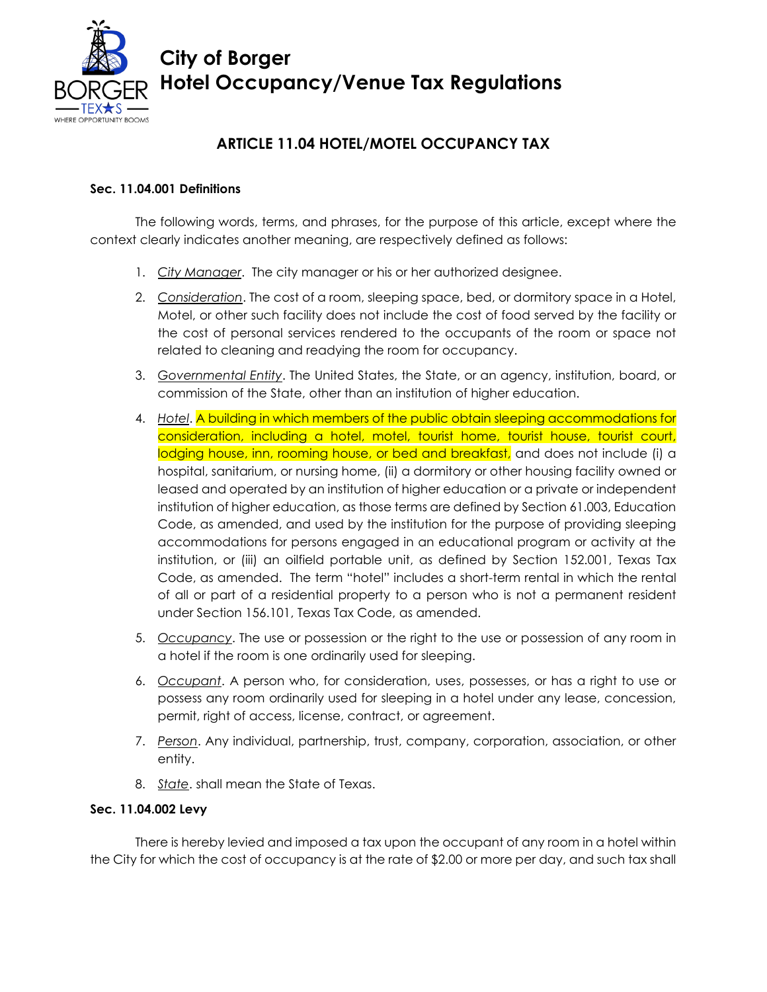

# **City of Borger Hotel Occupancy/Venue Tax Regulations**

# **ARTICLE 11.04 HOTEL/MOTEL OCCUPANCY TAX**

# **Sec. 11.04.001 Definitions**

The following words, terms, and phrases, for the purpose of this article, except where the context clearly indicates another meaning, are respectively defined as follows:

- 1. *City Manager*. The city manager or his or her authorized designee.
- 2. *Consideration*. The cost of a room, sleeping space, bed, or dormitory space in a Hotel, Motel, or other such facility does not include the cost of food served by the facility or the cost of personal services rendered to the occupants of the room or space not related to cleaning and readying the room for occupancy.
- 3. *Governmental Entity*. The United States, the State, or an agency, institution, board, or commission of the State, other than an institution of higher education.
- 4. *Hotel*. A building in which members of the public obtain sleeping accommodations for consideration, including a hotel, motel, tourist home, tourist house, tourist court, lodging house, inn, rooming house, or bed and breakfast, and does not include (i) a hospital, sanitarium, or nursing home, (ii) a dormitory or other housing facility owned or leased and operated by an institution of higher education or a private or independent institution of higher education, as those terms are defined by Section 61.003, Education Code, as amended, and used by the institution for the purpose of providing sleeping accommodations for persons engaged in an educational program or activity at the institution, or (iii) an oilfield portable unit, as defined by Section 152.001, Texas Tax Code, as amended. The term "hotel" includes a short-term rental in which the rental of all or part of a residential property to a person who is not a permanent resident under Section 156.101, Texas Tax Code, as amended.
- 5. *Occupancy*. The use or possession or the right to the use or possession of any room in a hotel if the room is one ordinarily used for sleeping.
- 6. *Occupant*. A person who, for consideration, uses, possesses, or has a right to use or possess any room ordinarily used for sleeping in a hotel under any lease, concession, permit, right of access, license, contract, or agreement.
- 7. *Person*. Any individual, partnership, trust, company, corporation, association, or other entity.
- 8. *State*. shall mean the State of Texas.

# **Sec. 11.04.002 Levy**

There is hereby levied and imposed a tax upon the occupant of any room in a hotel within the City for which the cost of occupancy is at the rate of \$2.00 or more per day, and such tax shall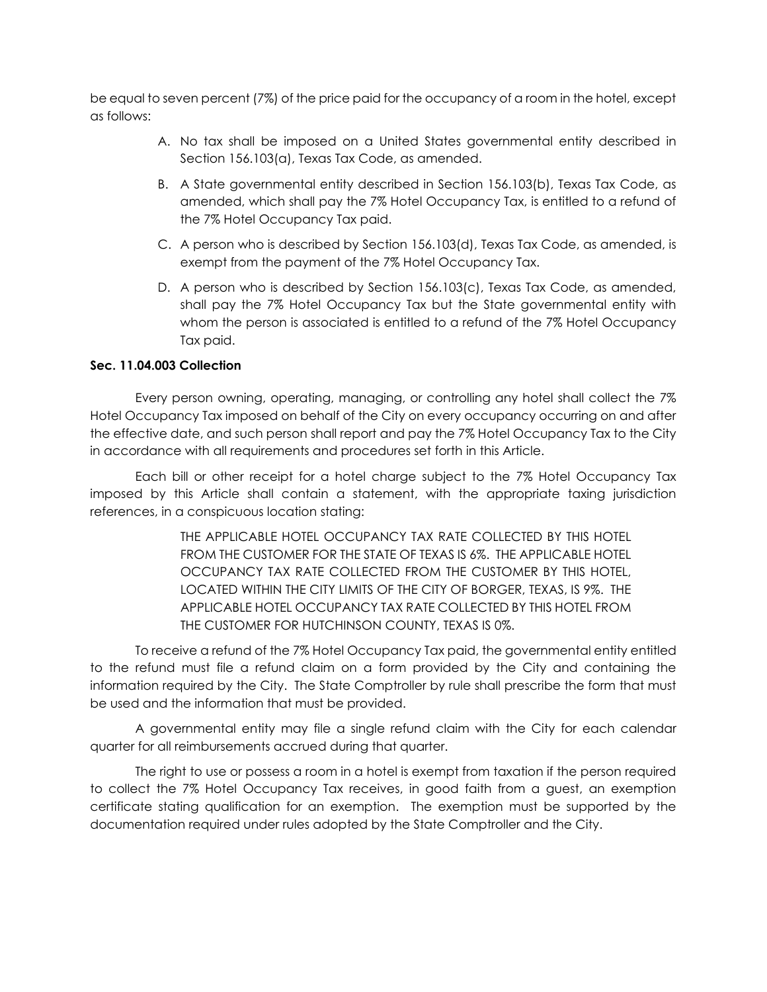be equal to seven percent (7%) of the price paid for the occupancy of a room in the hotel, except as follows:

- A. No tax shall be imposed on a United States governmental entity described in Section 156.103(a), Texas Tax Code, as amended.
- B. A State governmental entity described in Section 156.103(b), Texas Tax Code, as amended, which shall pay the 7% Hotel Occupancy Tax, is entitled to a refund of the 7% Hotel Occupancy Tax paid.
- C. A person who is described by Section 156.103(d), Texas Tax Code, as amended, is exempt from the payment of the 7% Hotel Occupancy Tax.
- D. A person who is described by Section 156.103(c), Texas Tax Code, as amended, shall pay the 7% Hotel Occupancy Tax but the State governmental entity with whom the person is associated is entitled to a refund of the 7% Hotel Occupancy Tax paid.

## **Sec. 11.04.003 Collection**

Every person owning, operating, managing, or controlling any hotel shall collect the 7% Hotel Occupancy Tax imposed on behalf of the City on every occupancy occurring on and after the effective date, and such person shall report and pay the 7% Hotel Occupancy Tax to the City in accordance with all requirements and procedures set forth in this Article.

Each bill or other receipt for a hotel charge subject to the 7% Hotel Occupancy Tax imposed by this Article shall contain a statement, with the appropriate taxing jurisdiction references, in a conspicuous location stating:

> THE APPLICABLE HOTEL OCCUPANCY TAX RATE COLLECTED BY THIS HOTEL FROM THE CUSTOMER FOR THE STATE OF TEXAS IS 6%. THE APPLICABLE HOTEL OCCUPANCY TAX RATE COLLECTED FROM THE CUSTOMER BY THIS HOTEL, LOCATED WITHIN THE CITY LIMITS OF THE CITY OF BORGER, TEXAS, IS 9%. THE APPLICABLE HOTEL OCCUPANCY TAX RATE COLLECTED BY THIS HOTEL FROM THE CUSTOMER FOR HUTCHINSON COUNTY, TEXAS IS 0%.

To receive a refund of the 7% Hotel Occupancy Tax paid, the governmental entity entitled to the refund must file a refund claim on a form provided by the City and containing the information required by the City. The State Comptroller by rule shall prescribe the form that must be used and the information that must be provided.

A governmental entity may file a single refund claim with the City for each calendar quarter for all reimbursements accrued during that quarter.

The right to use or possess a room in a hotel is exempt from taxation if the person required to collect the 7% Hotel Occupancy Tax receives, in good faith from a guest, an exemption certificate stating qualification for an exemption. The exemption must be supported by the documentation required under rules adopted by the State Comptroller and the City.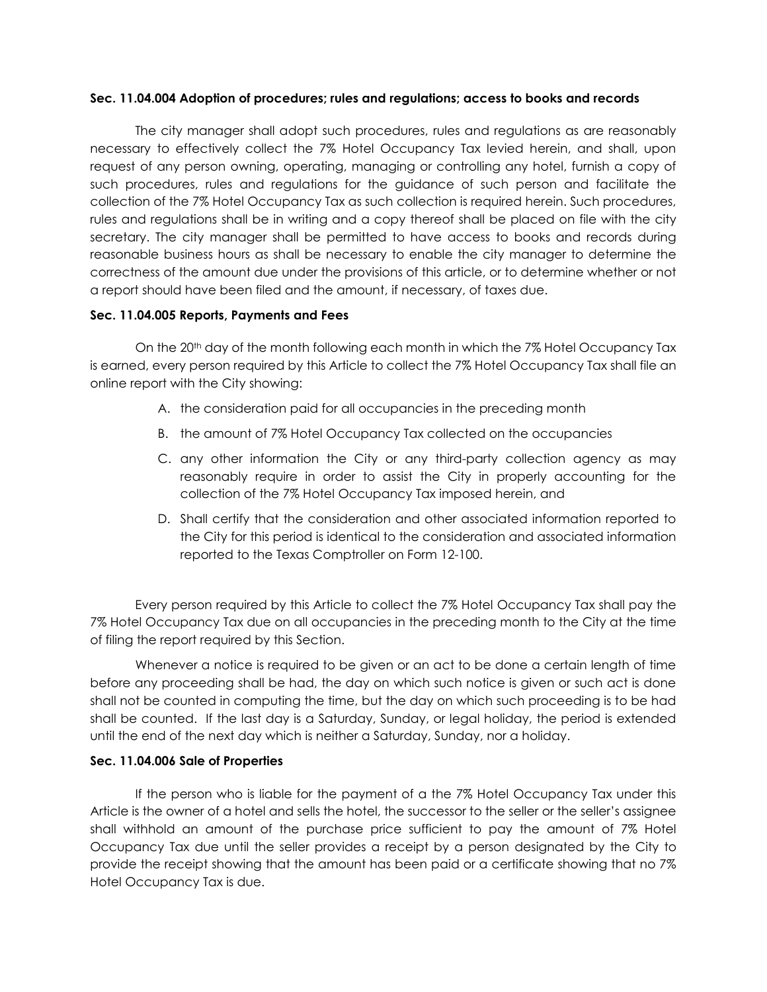#### **Sec. 11.04.004 Adoption of procedures; rules and regulations; access to books and records**

The city manager shall adopt such procedures, rules and regulations as are reasonably necessary to effectively collect the 7% Hotel Occupancy Tax levied herein, and shall, upon request of any person owning, operating, managing or controlling any hotel, furnish a copy of such procedures, rules and regulations for the guidance of such person and facilitate the collection of the 7% Hotel Occupancy Tax as such collection is required herein. Such procedures, rules and regulations shall be in writing and a copy thereof shall be placed on file with the city secretary. The city manager shall be permitted to have access to books and records during reasonable business hours as shall be necessary to enable the city manager to determine the correctness of the amount due under the provisions of this article, or to determine whether or not a report should have been filed and the amount, if necessary, of taxes due.

### **Sec. 11.04.005 Reports, Payments and Fees**

On the 20<sup>th</sup> day of the month following each month in which the 7% Hotel Occupancy Tax is earned, every person required by this Article to collect the 7% Hotel Occupancy Tax shall file an online report with the City showing:

- A. the consideration paid for all occupancies in the preceding month
- B. the amount of 7% Hotel Occupancy Tax collected on the occupancies
- C. any other information the City or any third-party collection agency as may reasonably require in order to assist the City in properly accounting for the collection of the 7% Hotel Occupancy Tax imposed herein, and
- D. Shall certify that the consideration and other associated information reported to the City for this period is identical to the consideration and associated information reported to the Texas Comptroller on Form 12-100.

Every person required by this Article to collect the 7% Hotel Occupancy Tax shall pay the 7% Hotel Occupancy Tax due on all occupancies in the preceding month to the City at the time of filing the report required by this Section.

Whenever a notice is required to be given or an act to be done a certain length of time before any proceeding shall be had, the day on which such notice is given or such act is done shall not be counted in computing the time, but the day on which such proceeding is to be had shall be counted. If the last day is a Saturday, Sunday, or legal holiday, the period is extended until the end of the next day which is neither a Saturday, Sunday, nor a holiday.

### **Sec. 11.04.006 Sale of Properties**

If the person who is liable for the payment of a the 7% Hotel Occupancy Tax under this Article is the owner of a hotel and sells the hotel, the successor to the seller or the seller's assignee shall withhold an amount of the purchase price sufficient to pay the amount of 7% Hotel Occupancy Tax due until the seller provides a receipt by a person designated by the City to provide the receipt showing that the amount has been paid or a certificate showing that no 7% Hotel Occupancy Tax is due.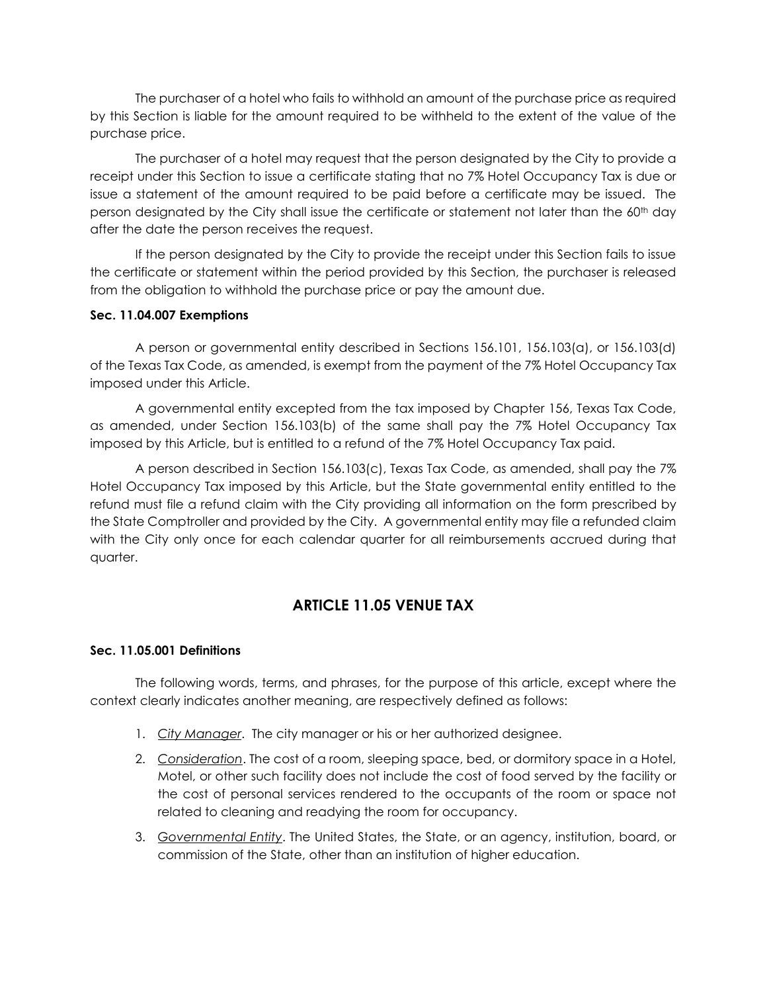The purchaser of a hotel who fails to withhold an amount of the purchase price as required by this Section is liable for the amount required to be withheld to the extent of the value of the purchase price.

The purchaser of a hotel may request that the person designated by the City to provide a receipt under this Section to issue a certificate stating that no 7% Hotel Occupancy Tax is due or issue a statement of the amount required to be paid before a certificate may be issued. The person designated by the City shall issue the certificate or statement not later than the 60<sup>th</sup> day after the date the person receives the request.

If the person designated by the City to provide the receipt under this Section fails to issue the certificate or statement within the period provided by this Section, the purchaser is released from the obligation to withhold the purchase price or pay the amount due.

## **Sec. 11.04.007 Exemptions**

A person or governmental entity described in Sections 156.101, 156.103(a), or 156.103(d) of the Texas Tax Code, as amended, is exempt from the payment of the 7% Hotel Occupancy Tax imposed under this Article.

A governmental entity excepted from the tax imposed by Chapter 156, Texas Tax Code, as amended, under Section 156.103(b) of the same shall pay the 7% Hotel Occupancy Tax imposed by this Article, but is entitled to a refund of the 7% Hotel Occupancy Tax paid.

A person described in Section 156.103(c), Texas Tax Code, as amended, shall pay the 7% Hotel Occupancy Tax imposed by this Article, but the State governmental entity entitled to the refund must file a refund claim with the City providing all information on the form prescribed by the State Comptroller and provided by the City. A governmental entity may file a refunded claim with the City only once for each calendar quarter for all reimbursements accrued during that quarter.

# **ARTICLE 11.05 VENUE TAX**

# **Sec. 11.05.001 Definitions**

The following words, terms, and phrases, for the purpose of this article, except where the context clearly indicates another meaning, are respectively defined as follows:

- 1. *City Manager*. The city manager or his or her authorized designee.
- 2. *Consideration*. The cost of a room, sleeping space, bed, or dormitory space in a Hotel, Motel, or other such facility does not include the cost of food served by the facility or the cost of personal services rendered to the occupants of the room or space not related to cleaning and readying the room for occupancy.
- 3. *Governmental Entity*. The United States, the State, or an agency, institution, board, or commission of the State, other than an institution of higher education.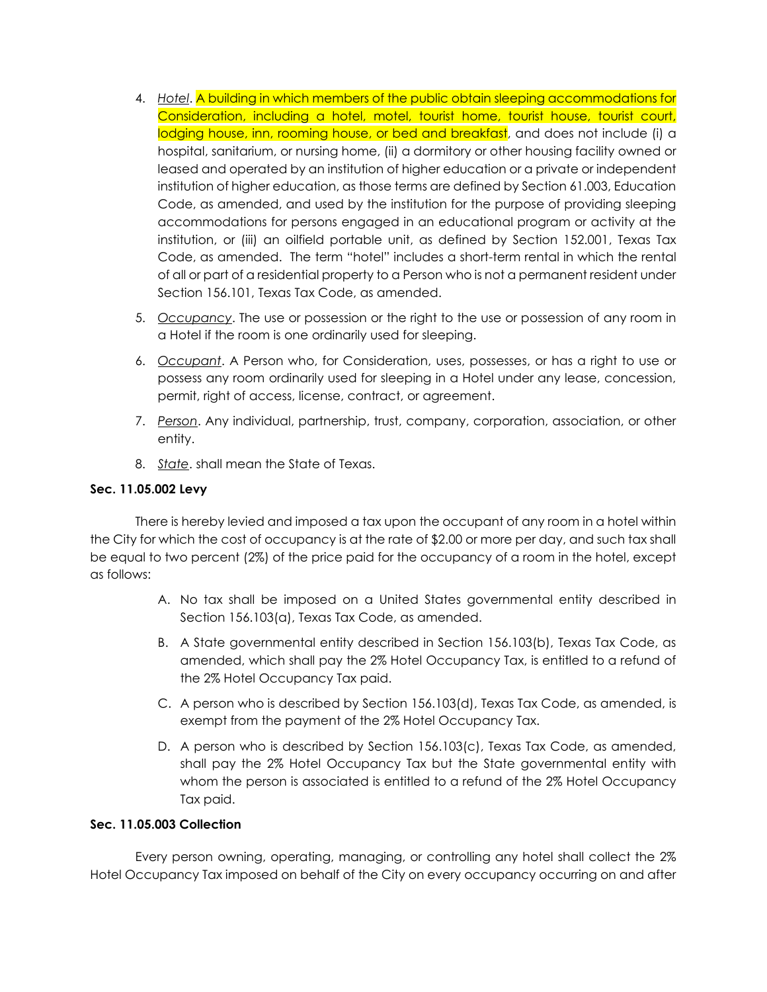- 4. *Hotel*. A building in which members of the public obtain sleeping accommodations for Consideration, including a hotel, motel, tourist home, tourist house, tourist court, lodging house, inn, rooming house, or bed and breakfast, and does not include (i) a hospital, sanitarium, or nursing home, (ii) a dormitory or other housing facility owned or leased and operated by an institution of higher education or a private or independent institution of higher education, as those terms are defined by Section 61.003, Education Code, as amended, and used by the institution for the purpose of providing sleeping accommodations for persons engaged in an educational program or activity at the institution, or (iii) an oilfield portable unit, as defined by Section 152.001, Texas Tax Code, as amended. The term "hotel" includes a short-term rental in which the rental of all or part of a residential property to a Person who is not a permanent resident under Section 156.101, Texas Tax Code, as amended.
- 5. *Occupancy*. The use or possession or the right to the use or possession of any room in a Hotel if the room is one ordinarily used for sleeping.
- 6. *Occupant*. A Person who, for Consideration, uses, possesses, or has a right to use or possess any room ordinarily used for sleeping in a Hotel under any lease, concession, permit, right of access, license, contract, or agreement.
- 7. *Person*. Any individual, partnership, trust, company, corporation, association, or other entity.
- 8. *State*. shall mean the State of Texas.

## **Sec. 11.05.002 Levy**

There is hereby levied and imposed a tax upon the occupant of any room in a hotel within the City for which the cost of occupancy is at the rate of \$2.00 or more per day, and such tax shall be equal to two percent (2%) of the price paid for the occupancy of a room in the hotel, except as follows:

- A. No tax shall be imposed on a United States governmental entity described in Section 156.103(a), Texas Tax Code, as amended.
- B. A State governmental entity described in Section 156.103(b), Texas Tax Code, as amended, which shall pay the 2% Hotel Occupancy Tax, is entitled to a refund of the 2% Hotel Occupancy Tax paid.
- C. A person who is described by Section 156.103(d), Texas Tax Code, as amended, is exempt from the payment of the 2% Hotel Occupancy Tax.
- D. A person who is described by Section 156.103(c), Texas Tax Code, as amended, shall pay the 2% Hotel Occupancy Tax but the State governmental entity with whom the person is associated is entitled to a refund of the 2% Hotel Occupancy Tax paid.

# **Sec. 11.05.003 Collection**

Every person owning, operating, managing, or controlling any hotel shall collect the 2% Hotel Occupancy Tax imposed on behalf of the City on every occupancy occurring on and after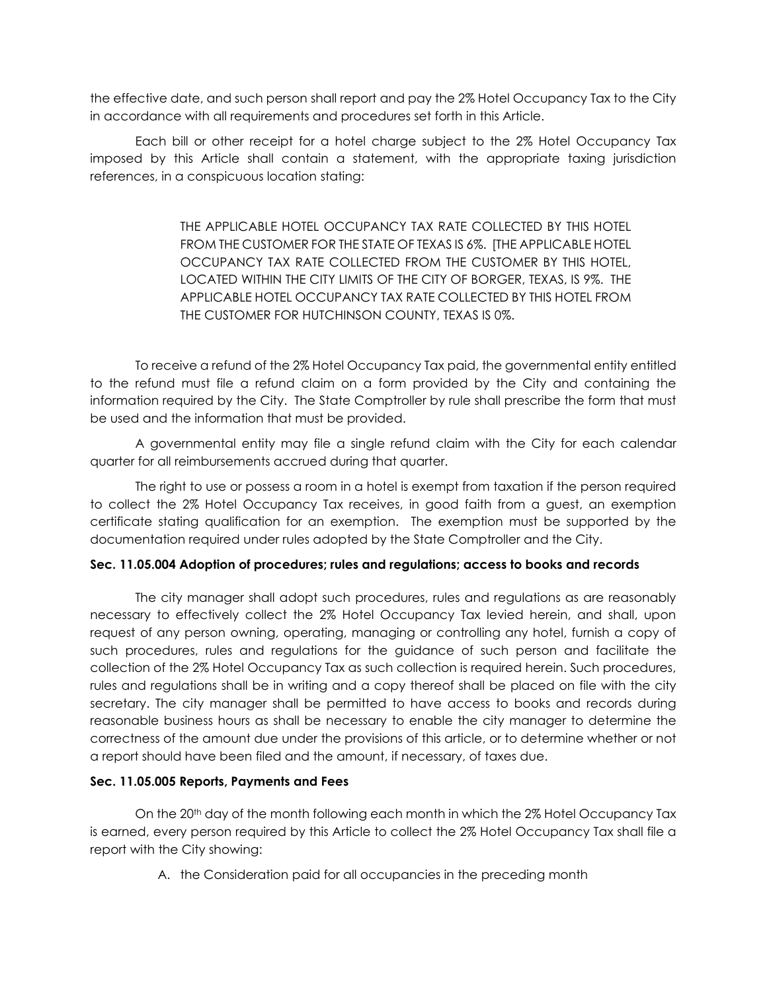the effective date, and such person shall report and pay the 2% Hotel Occupancy Tax to the City in accordance with all requirements and procedures set forth in this Article.

Each bill or other receipt for a hotel charge subject to the 2% Hotel Occupancy Tax imposed by this Article shall contain a statement, with the appropriate taxing jurisdiction references, in a conspicuous location stating:

> THE APPLICABLE HOTEL OCCUPANCY TAX RATE COLLECTED BY THIS HOTEL FROM THE CUSTOMER FOR THE STATE OF TEXAS IS 6%. [THE APPLICABLE HOTEL OCCUPANCY TAX RATE COLLECTED FROM THE CUSTOMER BY THIS HOTEL, LOCATED WITHIN THE CITY LIMITS OF THE CITY OF BORGER, TEXAS, IS 9%. THE APPLICABLE HOTEL OCCUPANCY TAX RATE COLLECTED BY THIS HOTEL FROM THE CUSTOMER FOR HUTCHINSON COUNTY, TEXAS IS 0%.

To receive a refund of the 2% Hotel Occupancy Tax paid, the governmental entity entitled to the refund must file a refund claim on a form provided by the City and containing the information required by the City. The State Comptroller by rule shall prescribe the form that must be used and the information that must be provided.

A governmental entity may file a single refund claim with the City for each calendar quarter for all reimbursements accrued during that quarter.

The right to use or possess a room in a hotel is exempt from taxation if the person required to collect the 2% Hotel Occupancy Tax receives, in good faith from a guest, an exemption certificate stating qualification for an exemption. The exemption must be supported by the documentation required under rules adopted by the State Comptroller and the City.

### **Sec. 11.05.004 Adoption of procedures; rules and regulations; access to books and records**

The city manager shall adopt such procedures, rules and regulations as are reasonably necessary to effectively collect the 2% Hotel Occupancy Tax levied herein, and shall, upon request of any person owning, operating, managing or controlling any hotel, furnish a copy of such procedures, rules and regulations for the guidance of such person and facilitate the collection of the 2% Hotel Occupancy Tax as such collection is required herein. Such procedures, rules and regulations shall be in writing and a copy thereof shall be placed on file with the city secretary. The city manager shall be permitted to have access to books and records during reasonable business hours as shall be necessary to enable the city manager to determine the correctness of the amount due under the provisions of this article, or to determine whether or not a report should have been filed and the amount, if necessary, of taxes due.

### **Sec. 11.05.005 Reports, Payments and Fees**

On the 20<sup>th</sup> day of the month following each month in which the 2% Hotel Occupancy Tax is earned, every person required by this Article to collect the 2% Hotel Occupancy Tax shall file a report with the City showing:

A. the Consideration paid for all occupancies in the preceding month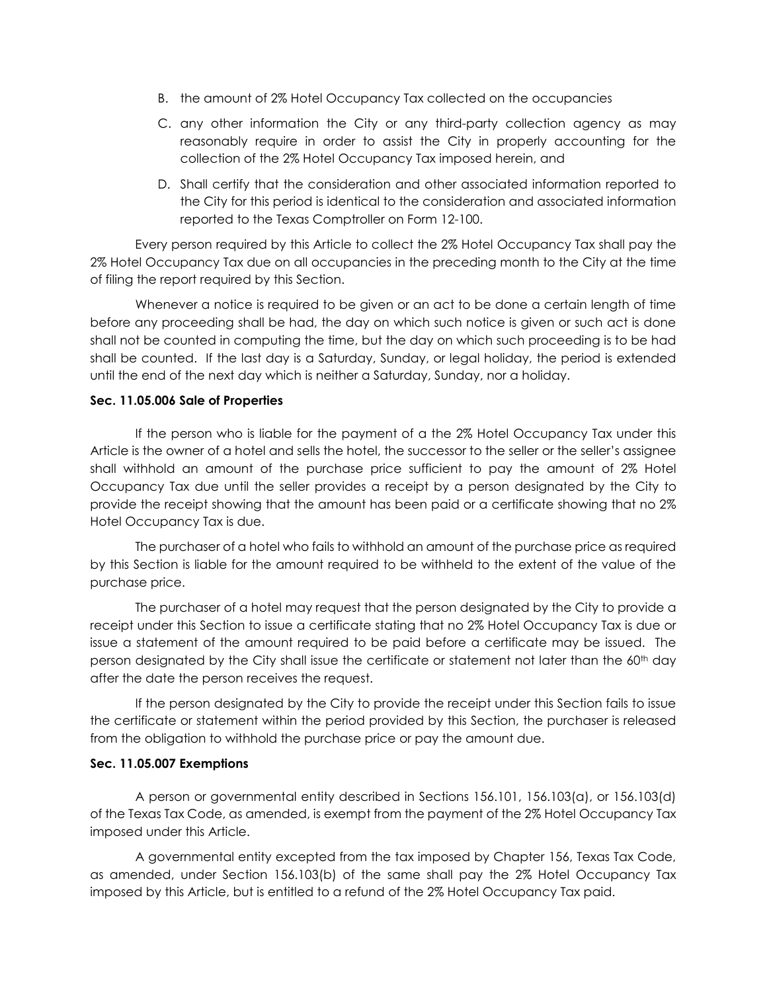- B. the amount of 2% Hotel Occupancy Tax collected on the occupancies
- C. any other information the City or any third-party collection agency as may reasonably require in order to assist the City in properly accounting for the collection of the 2% Hotel Occupancy Tax imposed herein, and
- D. Shall certify that the consideration and other associated information reported to the City for this period is identical to the consideration and associated information reported to the Texas Comptroller on Form 12-100.

Every person required by this Article to collect the 2% Hotel Occupancy Tax shall pay the 2% Hotel Occupancy Tax due on all occupancies in the preceding month to the City at the time of filing the report required by this Section.

Whenever a notice is required to be given or an act to be done a certain length of time before any proceeding shall be had, the day on which such notice is given or such act is done shall not be counted in computing the time, but the day on which such proceeding is to be had shall be counted. If the last day is a Saturday, Sunday, or legal holiday, the period is extended until the end of the next day which is neither a Saturday, Sunday, nor a holiday.

### **Sec. 11.05.006 Sale of Properties**

If the person who is liable for the payment of a the 2% Hotel Occupancy Tax under this Article is the owner of a hotel and sells the hotel, the successor to the seller or the seller's assignee shall withhold an amount of the purchase price sufficient to pay the amount of 2% Hotel Occupancy Tax due until the seller provides a receipt by a person designated by the City to provide the receipt showing that the amount has been paid or a certificate showing that no 2% Hotel Occupancy Tax is due.

The purchaser of a hotel who fails to withhold an amount of the purchase price as required by this Section is liable for the amount required to be withheld to the extent of the value of the purchase price.

The purchaser of a hotel may request that the person designated by the City to provide a receipt under this Section to issue a certificate stating that no 2% Hotel Occupancy Tax is due or issue a statement of the amount required to be paid before a certificate may be issued. The person designated by the City shall issue the certificate or statement not later than the 60<sup>th</sup> day after the date the person receives the request.

If the person designated by the City to provide the receipt under this Section fails to issue the certificate or statement within the period provided by this Section, the purchaser is released from the obligation to withhold the purchase price or pay the amount due.

#### **Sec. 11.05.007 Exemptions**

A person or governmental entity described in Sections 156.101, 156.103(a), or 156.103(d) of the Texas Tax Code, as amended, is exempt from the payment of the 2% Hotel Occupancy Tax imposed under this Article.

A governmental entity excepted from the tax imposed by Chapter 156, Texas Tax Code, as amended, under Section 156.103(b) of the same shall pay the 2% Hotel Occupancy Tax imposed by this Article, but is entitled to a refund of the 2% Hotel Occupancy Tax paid.